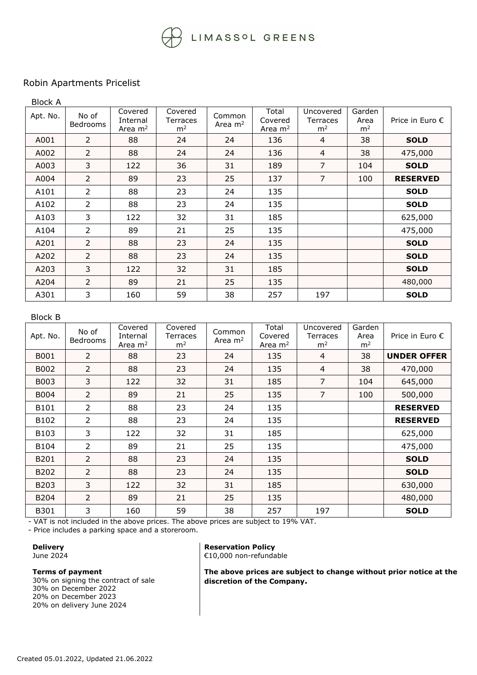## LIMASSOL GREENS

## Robin Apartments Pricelist

| <b>Block A</b> |                   |                                  |                                       |                     |                               |                                         |                                  |                          |
|----------------|-------------------|----------------------------------|---------------------------------------|---------------------|-------------------------------|-----------------------------------------|----------------------------------|--------------------------|
| Apt. No.       | No of<br>Bedrooms | Covered<br>Internal<br>Area $m2$ | Covered<br>Terraces<br>m <sup>2</sup> | Common<br>Area $m2$ | Total<br>Covered<br>Area $m2$ | Uncovered<br>Terraces<br>m <sup>2</sup> | Garden<br>Area<br>m <sup>2</sup> | Price in Euro $\epsilon$ |
| A001           | $\overline{2}$    | 88                               | 24                                    | 24                  | 136                           | 4                                       | 38                               | <b>SOLD</b>              |
| A002           | $\overline{2}$    | 88                               | 24                                    | 24                  | 136                           | 4                                       | 38                               | 475,000                  |
| A003           | 3                 | 122                              | 36                                    | 31                  | 189                           | $\overline{7}$                          | 104                              | <b>SOLD</b>              |
| A004           | $\overline{2}$    | 89                               | 23                                    | 25                  | 137                           | $\overline{7}$                          | 100                              | <b>RESERVED</b>          |
| A101           | $\overline{2}$    | 88                               | 23                                    | 24                  | 135                           |                                         |                                  | <b>SOLD</b>              |
| A102           | $\overline{2}$    | 88                               | 23                                    | 24                  | 135                           |                                         |                                  | <b>SOLD</b>              |
| A103           | 3                 | 122                              | 32                                    | 31                  | 185                           |                                         |                                  | 625,000                  |
| A104           | $\overline{2}$    | 89                               | 21                                    | 25                  | 135                           |                                         |                                  | 475,000                  |
| A201           | $\overline{2}$    | 88                               | 23                                    | 24                  | 135                           |                                         |                                  | <b>SOLD</b>              |
| A202           | $\overline{2}$    | 88                               | 23                                    | 24                  | 135                           |                                         |                                  | <b>SOLD</b>              |
| A203           | 3                 | 122                              | 32                                    | 31                  | 185                           |                                         |                                  | <b>SOLD</b>              |
| A204           | $\overline{2}$    | 89                               | 21                                    | 25                  | 135                           |                                         |                                  | 480,000                  |
| A301           | 3                 | 160                              | 59                                    | 38                  | 257                           | 197                                     |                                  | <b>SOLD</b>              |

## Block B

| Apt. No. | No of<br><b>Bedrooms</b> | Covered<br>Internal<br>Area $m2$ | Covered<br>Terraces<br>m <sup>2</sup> | Common<br>Area $m2$ | Total<br>Covered<br>Area $m2$ | Uncovered<br>Terraces<br>m <sup>2</sup> | Garden<br>Area<br>m <sup>2</sup> | Price in Euro $\epsilon$ |
|----------|--------------------------|----------------------------------|---------------------------------------|---------------------|-------------------------------|-----------------------------------------|----------------------------------|--------------------------|
| B001     | $\overline{2}$           | 88                               | 23                                    | 24                  | 135                           | $\overline{4}$                          | 38                               | <b>UNDER OFFER</b>       |
| B002     | $\overline{2}$           | 88                               | 23                                    | 24                  | 135                           | $\overline{4}$                          | 38                               | 470,000                  |
| B003     | 3                        | 122                              | 32                                    | 31                  | 185                           | $\overline{7}$                          | 104                              | 645,000                  |
| B004     | $\overline{2}$           | 89                               | 21                                    | 25                  | 135                           | $\overline{7}$                          | 100                              | 500,000                  |
| B101     | $\overline{2}$           | 88                               | 23                                    | 24                  | 135                           |                                         |                                  | <b>RESERVED</b>          |
| B102     | 2                        | 88                               | 23                                    | 24                  | 135                           |                                         |                                  | <b>RESERVED</b>          |
| B103     | 3                        | 122                              | 32                                    | 31                  | 185                           |                                         |                                  | 625,000                  |
| B104     | 2                        | 89                               | 21                                    | 25                  | 135                           |                                         |                                  | 475,000                  |
| B201     | $\mathcal{P}$            | 88                               | 23                                    | 24                  | 135                           |                                         |                                  | <b>SOLD</b>              |
| B202     | $\overline{2}$           | 88                               | 23                                    | 24                  | 135                           |                                         |                                  | <b>SOLD</b>              |
| B203     | 3                        | 122                              | 32                                    | 31                  | 185                           |                                         |                                  | 630,000                  |
| B204     | $\overline{2}$           | 89                               | 21                                    | 25                  | 135                           |                                         |                                  | 480,000                  |
| B301     | 3                        | 160                              | 59                                    | 38                  | 257                           | 197                                     |                                  | <b>SOLD</b>              |

- VAT is not included in the above prices. The above prices are subject to 19% VAT.

- Price includes a parking space and a storeroom.

#### **Delivery** June 2024

## **Terms of payment**

30% on signing the contract of sale 30% on December 2022 20% on December 2023 20% on delivery June 2024

#### **Reservation Policy** €10,000 non-refundable

**The above prices are subject to change without prior notice at the discretion of the Company.**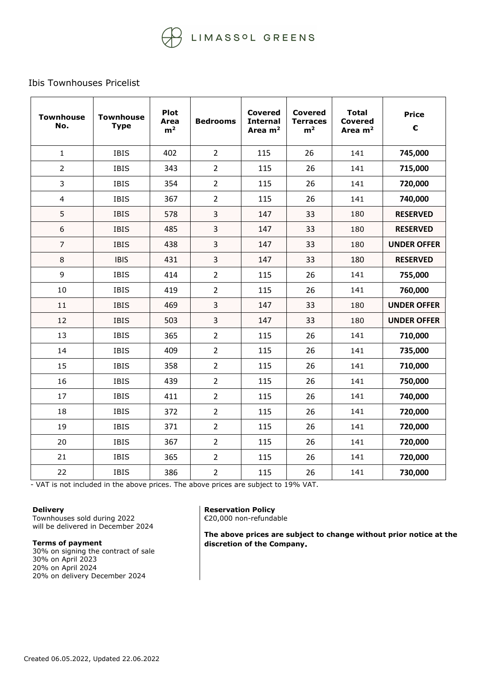# LIMASSOL GREENS

## Ibis Townhouses Pricelist

| <b>Townhouse</b><br>No. | <b>Townhouse</b><br><b>Type</b> | <b>Plot</b><br>Area<br>m <sup>2</sup> | <b>Bedrooms</b> | <b>Covered</b><br><b>Internal</b><br>Area $m2$ | <b>Covered</b><br><b>Terraces</b><br>m <sup>2</sup> | <b>Total</b><br>Covered<br>Area $m2$ | <b>Price</b><br>€  |
|-------------------------|---------------------------------|---------------------------------------|-----------------|------------------------------------------------|-----------------------------------------------------|--------------------------------------|--------------------|
| $\mathbf{1}$            | <b>IBIS</b>                     | 402                                   | $\overline{2}$  | 115                                            | 26                                                  | 141                                  | 745,000            |
| $\overline{2}$          | <b>IBIS</b>                     | 343                                   | $\overline{2}$  | 115                                            | 26                                                  | 141                                  | 715,000            |
| $\overline{3}$          | <b>IBIS</b>                     | 354                                   | $\overline{2}$  | 115                                            | 26                                                  | 141                                  | 720,000            |
| $\overline{4}$          | <b>IBIS</b>                     | 367                                   | $\overline{2}$  | 115                                            | 26                                                  | 141                                  | 740,000            |
| 5                       | <b>IBIS</b>                     | 578                                   | 3               | 147                                            | 33                                                  | 180                                  | <b>RESERVED</b>    |
| $\boldsymbol{6}$        | <b>IBIS</b>                     | 485                                   | 3               | 147                                            | 33                                                  | 180                                  | <b>RESERVED</b>    |
| $\overline{7}$          | <b>IBIS</b>                     | 438                                   | 3               | 147                                            | 33                                                  | 180                                  | <b>UNDER OFFER</b> |
| $\,8\,$                 | <b>IBIS</b>                     | 431                                   | 3               | 147                                            | 33                                                  | 180                                  | <b>RESERVED</b>    |
| 9                       | <b>IBIS</b>                     | 414                                   | $\overline{2}$  | 115                                            | 26                                                  | 141                                  | 755,000            |
| 10                      | <b>IBIS</b>                     | 419                                   | $\overline{2}$  | 115                                            | 26                                                  | 141                                  | 760,000            |
| 11                      | <b>IBIS</b>                     | 469                                   | 3               | 147                                            | 33                                                  | 180                                  | <b>UNDER OFFER</b> |
| 12                      | <b>IBIS</b>                     | 503                                   | $\overline{3}$  | 147                                            | 33                                                  | 180                                  | <b>UNDER OFFER</b> |
| 13                      | <b>IBIS</b>                     | 365                                   | $\overline{2}$  | 115                                            | 26                                                  | 141                                  | 710,000            |
| 14                      | <b>IBIS</b>                     | 409                                   | $\overline{2}$  | 115                                            | 26                                                  | 141                                  | 735,000            |
| 15                      | <b>IBIS</b>                     | 358                                   | $\overline{2}$  | 115                                            | 26                                                  | 141                                  | 710,000            |
| 16                      | <b>IBIS</b>                     | 439                                   | $\overline{2}$  | 115                                            | 26                                                  | 141                                  | 750,000            |
| 17                      | <b>IBIS</b>                     | 411                                   | $\overline{2}$  | 115                                            | 26                                                  | 141                                  | 740,000            |
| 18                      | <b>IBIS</b>                     | 372                                   | $\overline{2}$  | 115                                            | 26                                                  | 141                                  | 720,000            |
| 19                      | <b>IBIS</b>                     | 371                                   | $\overline{2}$  | 115                                            | 26                                                  | 141                                  | 720,000            |
| 20                      | <b>IBIS</b>                     | 367                                   | $\overline{2}$  | 115                                            | 26                                                  | 141                                  | 720,000            |
| 21                      | <b>IBIS</b>                     | 365                                   | $\overline{2}$  | 115                                            | 26                                                  | 141                                  | 720,000            |
| 22                      | <b>IBIS</b>                     | 386                                   | $\overline{2}$  | 115                                            | 26                                                  | 141                                  | 730,000            |

- VAT is not included in the above prices. The above prices are subject to 19% VAT.

## **Delivery**

Townhouses sold during 2022 will be delivered in December 2024

## **Terms of payment**

30% on signing the contract of sale 30% on April 2023 20% on April 2024 20% on delivery December 2024

**Reservation Policy** €20,000 non-refundable

**The above prices are subject to change without prior notice at the discretion of the Company.**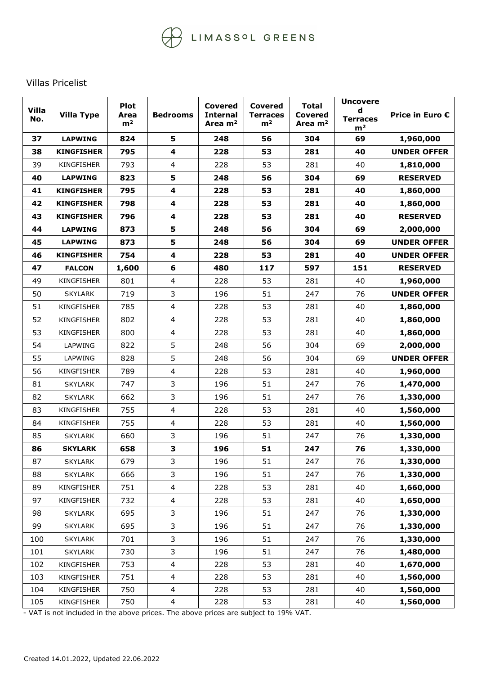## Villas Pricelist

| <b>Villa</b><br>No. | <b>Villa Type</b> | <b>Plot</b><br>Area<br>m <sup>2</sup> | <b>Bedrooms</b> | <b>Covered</b><br><b>Internal</b><br>Area m <sup>2</sup> | <b>Covered</b><br><b>Terraces</b><br>m <sup>2</sup> | <b>Total</b><br><b>Covered</b><br>Area $m2$ | <b>Uncovere</b><br>d<br><b>Terraces</b><br>m <sup>2</sup> | Price in Euro €    |
|---------------------|-------------------|---------------------------------------|-----------------|----------------------------------------------------------|-----------------------------------------------------|---------------------------------------------|-----------------------------------------------------------|--------------------|
| 37                  | <b>LAPWING</b>    | 824                                   | 5               | 248                                                      | 56                                                  | 304                                         | 69                                                        | 1,960,000          |
| 38                  | <b>KINGFISHER</b> | 795                                   | 4               | 228                                                      | 53                                                  | 281                                         | 40                                                        | <b>UNDER OFFER</b> |
| 39                  | <b>KINGFISHER</b> | 793                                   | $\overline{4}$  | 228                                                      | 53                                                  | 281                                         | 40                                                        | 1,810,000          |
| 40                  | <b>LAPWING</b>    | 823                                   | 5               | 248                                                      | 56                                                  | 304                                         | 69                                                        | <b>RESERVED</b>    |
| 41                  | <b>KINGFISHER</b> | 795                                   | 4               | 228                                                      | 53                                                  | 281                                         | 40                                                        | 1,860,000          |
| 42                  | <b>KINGFISHER</b> | 798                                   | 4               | 228                                                      | 53                                                  | 281                                         | 40                                                        | 1,860,000          |
| 43                  | <b>KINGFISHER</b> | 796                                   | 4               | 228                                                      | 53                                                  | 281                                         | 40                                                        | <b>RESERVED</b>    |
| 44                  | <b>LAPWING</b>    | 873                                   | 5               | 248                                                      | 56                                                  | 304                                         | 69                                                        | 2,000,000          |
| 45                  | <b>LAPWING</b>    | 873                                   | 5               | 248                                                      | 56                                                  | 304                                         | 69                                                        | <b>UNDER OFFER</b> |
| 46                  | <b>KINGFISHER</b> | 754                                   | 4               | 228                                                      | 53                                                  | 281                                         | 40                                                        | <b>UNDER OFFER</b> |
| 47                  | <b>FALCON</b>     | 1,600                                 | 6               | 480                                                      | 117                                                 | 597                                         | 151                                                       | <b>RESERVED</b>    |
| 49                  | <b>KINGFISHER</b> | 801                                   | $\overline{4}$  | 228                                                      | 53                                                  | 281                                         | 40                                                        | 1,960,000          |
| 50                  | <b>SKYLARK</b>    | 719                                   | 3               | 196                                                      | 51                                                  | 247                                         | 76                                                        | <b>UNDER OFFER</b> |
| 51                  | KINGFISHER        | 785                                   | $\overline{4}$  | 228                                                      | 53                                                  | 281                                         | 40                                                        | 1,860,000          |
| 52                  | <b>KINGFISHER</b> | 802                                   | $\overline{4}$  | 228                                                      | 53                                                  | 281                                         | 40                                                        | 1,860,000          |
| 53                  | <b>KINGFISHER</b> | 800                                   | $\overline{4}$  | 228                                                      | 53                                                  | 281                                         | 40                                                        | 1,860,000          |
| 54                  | LAPWING           | 822                                   | 5               | 248                                                      | 56                                                  | 304                                         | 69                                                        | 2,000,000          |
| 55                  | LAPWING           | 828                                   | 5               | 248                                                      | 56                                                  | 304                                         | 69                                                        | <b>UNDER OFFER</b> |
| 56                  | <b>KINGFISHER</b> | 789                                   | 4               | 228                                                      | 53                                                  | 281                                         | 40                                                        | 1,960,000          |
| 81                  | <b>SKYLARK</b>    | 747                                   | 3               | 196                                                      | 51                                                  | 247                                         | 76                                                        | 1,470,000          |
| 82                  | <b>SKYLARK</b>    | 662                                   | 3               | 196                                                      | 51                                                  | 247                                         | 76                                                        | 1,330,000          |
| 83                  | <b>KINGFISHER</b> | 755                                   | $\overline{4}$  | 228                                                      | 53                                                  | 281                                         | 40                                                        | 1,560,000          |
| 84                  | <b>KINGFISHER</b> | 755                                   | $\overline{4}$  | 228                                                      | 53                                                  | 281                                         | 40                                                        | 1,560,000          |
| 85                  | <b>SKYLARK</b>    | 660                                   | 3               | 196                                                      | 51                                                  | 247                                         | 76                                                        | 1,330,000          |
| 86                  | <b>SKYLARK</b>    | 658                                   | 3               | 196                                                      | 51                                                  | 247                                         | 76                                                        | 1,330,000          |
| 87                  | <b>SKYLARK</b>    | 679                                   | 3               | 196                                                      | 51                                                  | 247                                         | 76                                                        | 1,330,000          |
| 88                  | <b>SKYLARK</b>    | 666                                   | 3               | 196                                                      | 51                                                  | 247                                         | 76                                                        | 1,330,000          |
| 89                  | <b>KINGFISHER</b> | 751                                   | 4               | 228                                                      | 53                                                  | 281                                         | 40                                                        | 1,660,000          |
| 97                  | KINGFISHER        | 732                                   | 4               | 228                                                      | 53                                                  | 281                                         | 40                                                        | 1,650,000          |
| 98                  | <b>SKYLARK</b>    | 695                                   | 3               | 196                                                      | 51                                                  | 247                                         | 76                                                        | 1,330,000          |
| 99                  | <b>SKYLARK</b>    | 695                                   | 3               | 196                                                      | 51                                                  | 247                                         | 76                                                        | 1,330,000          |
| 100                 | <b>SKYLARK</b>    | 701                                   | 3               | 196                                                      | 51                                                  | 247                                         | 76                                                        | 1,330,000          |
| 101                 | <b>SKYLARK</b>    | 730                                   | 3               | 196                                                      | 51                                                  | 247                                         | 76                                                        | 1,480,000          |
| 102                 | KINGFISHER        | 753                                   | 4               | 228                                                      | 53                                                  | 281                                         | 40                                                        | 1,670,000          |
| 103                 | KINGFISHER        | 751                                   | 4               | 228                                                      | 53                                                  | 281                                         | 40                                                        | 1,560,000          |
| 104                 | KINGFISHER        | 750                                   | 4               | 228                                                      | 53                                                  | 281                                         | 40                                                        | 1,560,000          |
| 105                 | KINGFISHER        | 750                                   | $\overline{4}$  | 228                                                      | 53                                                  | 281                                         | 40                                                        | 1,560,000          |

- VAT is not included in the above prices. The above prices are subject to 19% VAT.